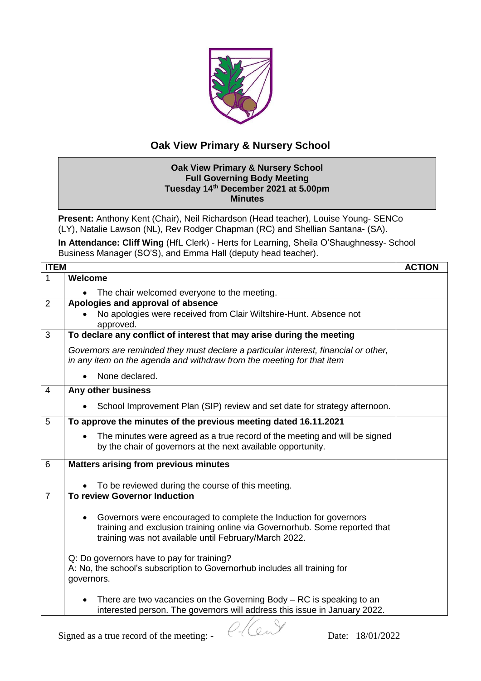

## **Oak View Primary & Nursery School**

## **Oak View Primary & Nursery School Full Governing Body Meeting Tuesday 14th December 2021 at 5.00pm Minutes**

**Present:** Anthony Kent (Chair), Neil Richardson (Head teacher), Louise Young- SENCo (LY), Natalie Lawson (NL), Rev Rodger Chapman (RC) and Shellian Santana- (SA).

**In Attendance: Cliff Wing** (HfL Clerk) - Herts for Learning, Sheila O'Shaughnessy- School Business Manager (SO'S), and Emma Hall (deputy head teacher).

| <b>ITEM</b>    |                                                                                                                                                                                                               | <b>ACTION</b> |
|----------------|---------------------------------------------------------------------------------------------------------------------------------------------------------------------------------------------------------------|---------------|
| 1              | <b>Welcome</b>                                                                                                                                                                                                |               |
|                | The chair welcomed everyone to the meeting.<br>$\bullet$                                                                                                                                                      |               |
| 2              | Apologies and approval of absence                                                                                                                                                                             |               |
|                | No apologies were received from Clair Wiltshire-Hunt. Absence not<br>approved.                                                                                                                                |               |
| 3              | To declare any conflict of interest that may arise during the meeting                                                                                                                                         |               |
|                | Governors are reminded they must declare a particular interest, financial or other,<br>in any item on the agenda and withdraw from the meeting for that item                                                  |               |
|                | None declared.                                                                                                                                                                                                |               |
| $\overline{4}$ | Any other business                                                                                                                                                                                            |               |
|                | School Improvement Plan (SIP) review and set date for strategy afternoon.                                                                                                                                     |               |
| 5              | To approve the minutes of the previous meeting dated 16.11.2021                                                                                                                                               |               |
|                | The minutes were agreed as a true record of the meeting and will be signed<br>$\bullet$<br>by the chair of governors at the next available opportunity.                                                       |               |
| 6              | <b>Matters arising from previous minutes</b>                                                                                                                                                                  |               |
|                |                                                                                                                                                                                                               |               |
| $\overline{7}$ | To be reviewed during the course of this meeting.<br><b>To review Governor Induction</b>                                                                                                                      |               |
|                |                                                                                                                                                                                                               |               |
|                | Governors were encouraged to complete the Induction for governors<br>٠<br>training and exclusion training online via Governorhub. Some reported that<br>training was not available until February/March 2022. |               |
|                | Q: Do governors have to pay for training?<br>A: No, the school's subscription to Governorhub includes all training for<br>governors.                                                                          |               |
|                | There are two vacancies on the Governing Body $-$ RC is speaking to an<br>$\bullet$<br>interested person. The governors will address this issue in January 2022.                                              |               |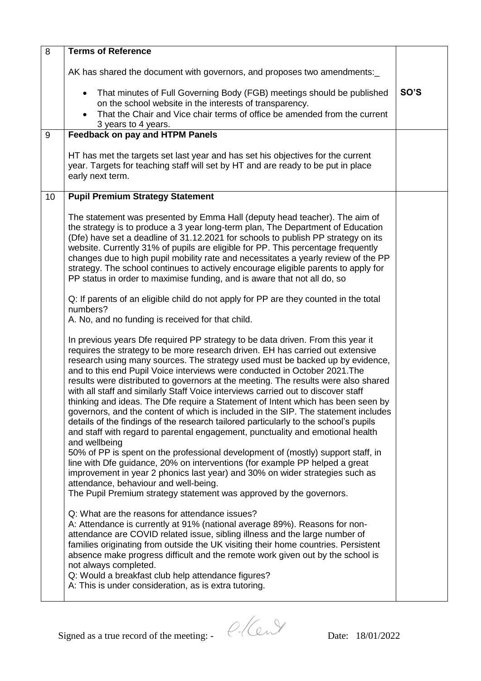| 8                | <b>Terms of Reference</b>                                                                                                                                                                                                                                                                                                                                                                                                                                                                                                                                                                                                                                                                                                                                                                                                                                                                                                                                                                                                                                                                                                                                                                                                                           |      |
|------------------|-----------------------------------------------------------------------------------------------------------------------------------------------------------------------------------------------------------------------------------------------------------------------------------------------------------------------------------------------------------------------------------------------------------------------------------------------------------------------------------------------------------------------------------------------------------------------------------------------------------------------------------------------------------------------------------------------------------------------------------------------------------------------------------------------------------------------------------------------------------------------------------------------------------------------------------------------------------------------------------------------------------------------------------------------------------------------------------------------------------------------------------------------------------------------------------------------------------------------------------------------------|------|
|                  | AK has shared the document with governors, and proposes two amendments:                                                                                                                                                                                                                                                                                                                                                                                                                                                                                                                                                                                                                                                                                                                                                                                                                                                                                                                                                                                                                                                                                                                                                                             |      |
|                  | That minutes of Full Governing Body (FGB) meetings should be published<br>$\bullet$<br>on the school website in the interests of transparency.<br>That the Chair and Vice chair terms of office be amended from the current<br>3 years to 4 years.                                                                                                                                                                                                                                                                                                                                                                                                                                                                                                                                                                                                                                                                                                                                                                                                                                                                                                                                                                                                  | SO'S |
| $\boldsymbol{9}$ | <b>Feedback on pay and HTPM Panels</b>                                                                                                                                                                                                                                                                                                                                                                                                                                                                                                                                                                                                                                                                                                                                                                                                                                                                                                                                                                                                                                                                                                                                                                                                              |      |
|                  | HT has met the targets set last year and has set his objectives for the current<br>year. Targets for teaching staff will set by HT and are ready to be put in place<br>early next term.                                                                                                                                                                                                                                                                                                                                                                                                                                                                                                                                                                                                                                                                                                                                                                                                                                                                                                                                                                                                                                                             |      |
| 10               | <b>Pupil Premium Strategy Statement</b>                                                                                                                                                                                                                                                                                                                                                                                                                                                                                                                                                                                                                                                                                                                                                                                                                                                                                                                                                                                                                                                                                                                                                                                                             |      |
|                  | The statement was presented by Emma Hall (deputy head teacher). The aim of<br>the strategy is to produce a 3 year long-term plan, The Department of Education<br>(Dfe) have set a deadline of 31.12.2021 for schools to publish PP strategy on its<br>website. Currently 31% of pupils are eligible for PP. This percentage frequently<br>changes due to high pupil mobility rate and necessitates a yearly review of the PP<br>strategy. The school continues to actively encourage eligible parents to apply for<br>PP status in order to maximise funding, and is aware that not all do, so<br>Q: If parents of an eligible child do not apply for PP are they counted in the total                                                                                                                                                                                                                                                                                                                                                                                                                                                                                                                                                              |      |
|                  | numbers?<br>A. No, and no funding is received for that child.                                                                                                                                                                                                                                                                                                                                                                                                                                                                                                                                                                                                                                                                                                                                                                                                                                                                                                                                                                                                                                                                                                                                                                                       |      |
|                  | In previous years Dfe required PP strategy to be data driven. From this year it<br>requires the strategy to be more research driven. EH has carried out extensive<br>research using many sources. The strategy used must be backed up by evidence,<br>and to this end Pupil Voice interviews were conducted in October 2021. The<br>results were distributed to governors at the meeting. The results were also shared<br>with all staff and similarly Staff Voice interviews carried out to discover staff<br>thinking and ideas. The Dfe require a Statement of Intent which has been seen by<br>governors, and the content of which is included in the SIP. The statement includes<br>details of the findings of the research tailored particularly to the school's pupils<br>and staff with regard to parental engagement, punctuality and emotional health<br>and wellbeing<br>50% of PP is spent on the professional development of (mostly) support staff, in<br>line with Dfe guidance, 20% on interventions (for example PP helped a great<br>improvement in year 2 phonics last year) and 30% on wider strategies such as<br>attendance, behaviour and well-being.<br>The Pupil Premium strategy statement was approved by the governors. |      |
|                  | Q: What are the reasons for attendance issues?<br>A: Attendance is currently at 91% (national average 89%). Reasons for non-<br>attendance are COVID related issue, sibling illness and the large number of<br>families originating from outside the UK visiting their home countries. Persistent<br>absence make progress difficult and the remote work given out by the school is<br>not always completed.<br>Q: Would a breakfast club help attendance figures?<br>A: This is under consideration, as is extra tutoring.                                                                                                                                                                                                                                                                                                                                                                                                                                                                                                                                                                                                                                                                                                                         |      |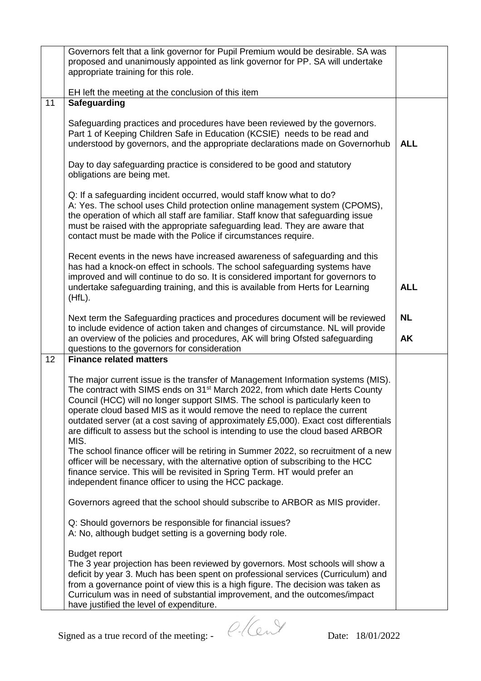|    | Governors felt that a link governor for Pupil Premium would be desirable. SA was<br>proposed and unanimously appointed as link governor for PP. SA will undertake<br>appropriate training for this role.                                                                                                                                                                                                                                                                                                                                                                                                                                                                                                                                                                                                                                          |                        |
|----|---------------------------------------------------------------------------------------------------------------------------------------------------------------------------------------------------------------------------------------------------------------------------------------------------------------------------------------------------------------------------------------------------------------------------------------------------------------------------------------------------------------------------------------------------------------------------------------------------------------------------------------------------------------------------------------------------------------------------------------------------------------------------------------------------------------------------------------------------|------------------------|
| 11 | EH left the meeting at the conclusion of this item<br>Safeguarding                                                                                                                                                                                                                                                                                                                                                                                                                                                                                                                                                                                                                                                                                                                                                                                |                        |
|    | Safeguarding practices and procedures have been reviewed by the governors.<br>Part 1 of Keeping Children Safe in Education (KCSIE) needs to be read and<br>understood by governors, and the appropriate declarations made on Governorhub                                                                                                                                                                                                                                                                                                                                                                                                                                                                                                                                                                                                          | <b>ALL</b>             |
|    | Day to day safeguarding practice is considered to be good and statutory<br>obligations are being met.                                                                                                                                                                                                                                                                                                                                                                                                                                                                                                                                                                                                                                                                                                                                             |                        |
|    | Q: If a safeguarding incident occurred, would staff know what to do?<br>A: Yes. The school uses Child protection online management system (CPOMS),<br>the operation of which all staff are familiar. Staff know that safeguarding issue<br>must be raised with the appropriate safeguarding lead. They are aware that<br>contact must be made with the Police if circumstances require.                                                                                                                                                                                                                                                                                                                                                                                                                                                           |                        |
|    | Recent events in the news have increased awareness of safeguarding and this<br>has had a knock-on effect in schools. The school safeguarding systems have<br>improved and will continue to do so. It is considered important for governors to<br>undertake safeguarding training, and this is available from Herts for Learning<br>$(HfL)$ .                                                                                                                                                                                                                                                                                                                                                                                                                                                                                                      | <b>ALL</b>             |
|    | Next term the Safeguarding practices and procedures document will be reviewed<br>to include evidence of action taken and changes of circumstance. NL will provide<br>an overview of the policies and procedures, AK will bring Ofsted safeguarding<br>questions to the governors for consideration                                                                                                                                                                                                                                                                                                                                                                                                                                                                                                                                                | <b>NL</b><br><b>AK</b> |
| 12 | <b>Finance related matters</b>                                                                                                                                                                                                                                                                                                                                                                                                                                                                                                                                                                                                                                                                                                                                                                                                                    |                        |
|    | The major current issue is the transfer of Management Information systems (MIS).<br>The contract with SIMS ends on 31 <sup>st</sup> March 2022, from which date Herts County<br>Council (HCC) will no longer support SIMS. The school is particularly keen to<br>operate cloud based MIS as it would remove the need to replace the current<br>outdated server (at a cost saving of approximately £5,000). Exact cost differentials<br>are difficult to assess but the school is intending to use the cloud based ARBOR<br>MIS.<br>The school finance officer will be retiring in Summer 2022, so recruitment of a new<br>officer will be necessary, with the alternative option of subscribing to the HCC<br>finance service. This will be revisited in Spring Term. HT would prefer an<br>independent finance officer to using the HCC package. |                        |
|    | Governors agreed that the school should subscribe to ARBOR as MIS provider.                                                                                                                                                                                                                                                                                                                                                                                                                                                                                                                                                                                                                                                                                                                                                                       |                        |
|    | Q: Should governors be responsible for financial issues?<br>A: No, although budget setting is a governing body role.                                                                                                                                                                                                                                                                                                                                                                                                                                                                                                                                                                                                                                                                                                                              |                        |
|    | <b>Budget report</b><br>The 3 year projection has been reviewed by governors. Most schools will show a<br>deficit by year 3. Much has been spent on professional services (Curriculum) and<br>from a governance point of view this is a high figure. The decision was taken as<br>Curriculum was in need of substantial improvement, and the outcomes/impact<br>have justified the level of expenditure.                                                                                                                                                                                                                                                                                                                                                                                                                                          |                        |
|    | Signed as a true record of the meeting: -<br>Date: 18/01/2022                                                                                                                                                                                                                                                                                                                                                                                                                                                                                                                                                                                                                                                                                                                                                                                     |                        |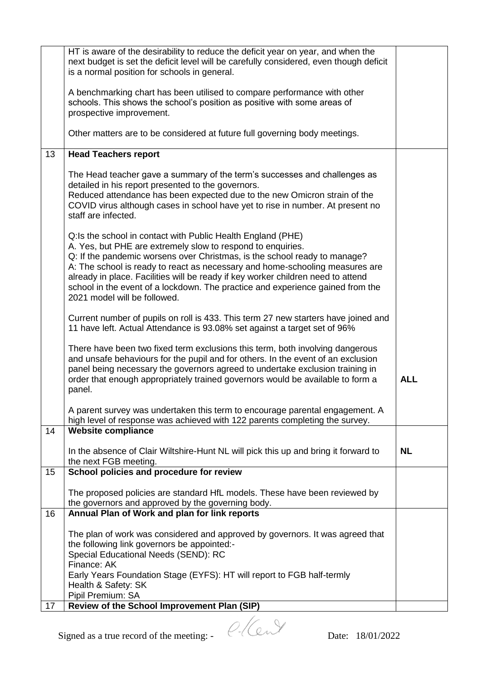| HT is aware of the desirability to reduce the deficit year on year, and when the<br>next budget is set the deficit level will be carefully considered, even though deficit                                                                                                                                                                         |
|----------------------------------------------------------------------------------------------------------------------------------------------------------------------------------------------------------------------------------------------------------------------------------------------------------------------------------------------------|
| A benchmarking chart has been utilised to compare performance with other<br>schools. This shows the school's position as positive with some areas of                                                                                                                                                                                               |
| Other matters are to be considered at future full governing body meetings.                                                                                                                                                                                                                                                                         |
|                                                                                                                                                                                                                                                                                                                                                    |
| The Head teacher gave a summary of the term's successes and challenges as<br>Reduced attendance has been expected due to the new Omicron strain of the<br>COVID virus although cases in school have yet to rise in number. At present no                                                                                                           |
| Q: If the pandemic worsens over Christmas, is the school ready to manage?<br>A: The school is ready to react as necessary and home-schooling measures are<br>already in place. Facilities will be ready if key worker children need to attend<br>school in the event of a lockdown. The practice and experience gained from the                    |
| Current number of pupils on roll is 433. This term 27 new starters have joined and<br>11 have left. Actual Attendance is 93.08% set against a target set of 96%                                                                                                                                                                                    |
| There have been two fixed term exclusions this term, both involving dangerous<br>and unsafe behaviours for the pupil and for others. In the event of an exclusion<br>panel being necessary the governors agreed to undertake exclusion training in<br><b>ALL</b><br>order that enough appropriately trained governors would be available to form a |
| A parent survey was undertaken this term to encourage parental engagement. A<br>high level of response was achieved with 122 parents completing the survey.                                                                                                                                                                                        |
|                                                                                                                                                                                                                                                                                                                                                    |
| <b>NL</b><br>In the absence of Clair Wiltshire-Hunt NL will pick this up and bring it forward to                                                                                                                                                                                                                                                   |
|                                                                                                                                                                                                                                                                                                                                                    |
| The proposed policies are standard HfL models. These have been reviewed by                                                                                                                                                                                                                                                                         |
|                                                                                                                                                                                                                                                                                                                                                    |
| The plan of work was considered and approved by governors. It was agreed that                                                                                                                                                                                                                                                                      |
| Early Years Foundation Stage (EYFS): HT will report to FGB half-termly                                                                                                                                                                                                                                                                             |
|                                                                                                                                                                                                                                                                                                                                                    |
|                                                                                                                                                                                                                                                                                                                                                    |